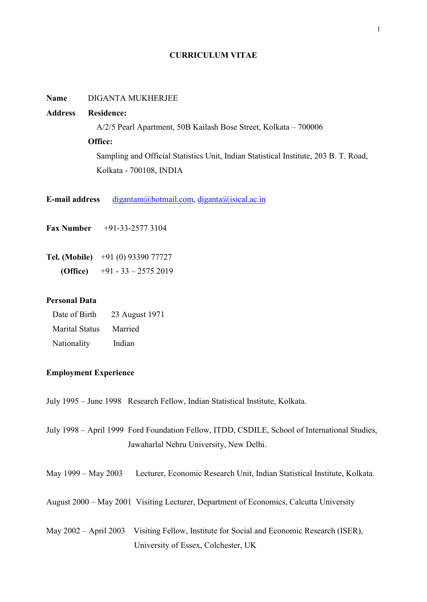### CURRICULUM VITAE

## Name DIGANTA MUKHERJEE

# Address Residence: A/2/5 Pearl Apartment, 50B Kailash Bose Street, Kolkata – 700006 Office: Sampling and Official Statistics Unit, Indian Statistical Institute, 203 B. T. Road, Kolkata - 700108, INDIA

E-mail address [digantam@hotmail.com](mailto:digantam@hotmail.com), [diganta@isical.ac.in](mailto:diganta@isical.ac.in)

Fax Number +91-33-2577 3104

Tel. (Mobile) +91 (0) 93390 77727 (Office)  $+91 - 33 - 25752019$ 

#### Personal Data

| Date of Birth         | 23 August 1971 |
|-----------------------|----------------|
| <b>Marital Status</b> | Married        |
| Nationality           | Indian         |

## Employment Experience

July 1995 – June 1998 Research Fellow, Indian Statistical Institute, Kolkata.

July 1998 – April 1999 Ford Foundation Fellow, ITDD, CSDILE, School of International Studies, Jawaharlal Nehru University, New Delhi.

May 1999 – May 2003 Lecturer, Economic Research Unit, Indian Statistical Institute, Kolkata.

August 2000 – May 2001 Visiting Lecturer, Department of Economics, Calcutta University

May 2002 – April 2003 Visiting Fellow, Institute for Social and Economic Research (ISER), University of Essex, Colchester, UK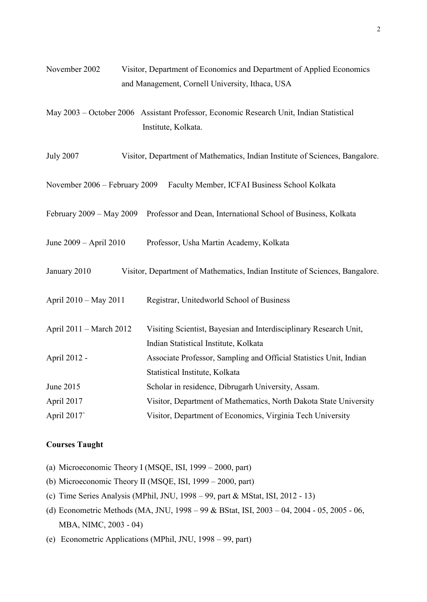| November 2002<br>Visitor, Department of Economics and Department of Applied Economics        |                                                                                         |
|----------------------------------------------------------------------------------------------|-----------------------------------------------------------------------------------------|
|                                                                                              | and Management, Cornell University, Ithaca, USA                                         |
|                                                                                              | May 2003 – October 2006 Assistant Professor, Economic Research Unit, Indian Statistical |
|                                                                                              | Institute, Kolkata.                                                                     |
| <b>July 2007</b>                                                                             | Visitor, Department of Mathematics, Indian Institute of Sciences, Bangalore.            |
| November 2006 – February 2009<br>Faculty Member, ICFAI Business School Kolkata               |                                                                                         |
|                                                                                              | February 2009 - May 2009 Professor and Dean, International School of Business, Kolkata  |
| June 2009 - April 2010                                                                       | Professor, Usha Martin Academy, Kolkata                                                 |
| January 2010<br>Visitor, Department of Mathematics, Indian Institute of Sciences, Bangalore. |                                                                                         |
| April 2010 - May 2011                                                                        | Registrar, Unitedworld School of Business                                               |
| April 2011 – March 2012                                                                      | Visiting Scientist, Bayesian and Interdisciplinary Research Unit,                       |
|                                                                                              | Indian Statistical Institute, Kolkata                                                   |
| April 2012 -                                                                                 | Associate Professor, Sampling and Official Statistics Unit, Indian                      |
|                                                                                              | Statistical Institute, Kolkata                                                          |
| June 2015                                                                                    | Scholar in residence, Dibrugarh University, Assam.                                      |
| April 2017                                                                                   | Visitor, Department of Mathematics, North Dakota State University                       |
| April 2017`                                                                                  | Visitor, Department of Economics, Virginia Tech University                              |

# Courses Taught

- (a) Microeconomic Theory I (MSQE, ISI, 1999 2000, part)
- (b) Microeconomic Theory II (MSQE, ISI, 1999 2000, part)
- (c) Time Series Analysis (MPhil, JNU, 1998 99, part & MStat, ISI, 2012 13)
- (d) Econometric Methods (MA, JNU, 1998 99 & BStat, ISI, 2003 04, 2004 05, 2005 06, MBA, NIMC, 2003 - 04)
- (e) Econometric Applications (MPhil, JNU, 1998 99, part)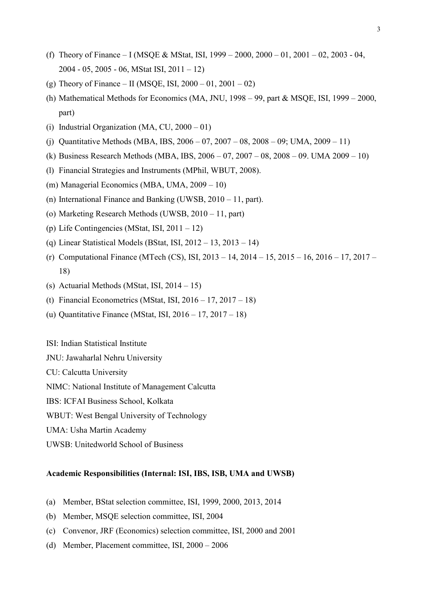- (f) Theory of Finance I (MSQE & MStat, ISI, 1999 2000, 2000 01, 2001 02, 2003 04, 2004 - 05, 2005 - 06, MStat ISI, 2011 – 12)
- (g) Theory of Finance II (MSQE, ISI,  $2000 01$ ,  $2001 02$ )
- (h) Mathematical Methods for Economics (MA, JNU, 1998 99, part & MSQE, ISI, 1999 2000, part)
- (i) Industrial Organization (MA, CU,  $2000 01$ )
- (j) Quantitative Methods (MBA, IBS, 2006 07, 2007 08, 2008 09; UMA, 2009 11)
- (k) Business Research Methods (MBA, IBS, 2006 07, 2007 08, 2008 09. UMA 2009 10)
- (l) Financial Strategies and Instruments (MPhil, WBUT, 2008).
- (m) Managerial Economics (MBA, UMA, 2009 10)
- (n) International Finance and Banking (UWSB, 2010 11, part).
- (o) Marketing Research Methods (UWSB, 2010 11, part)
- (p) Life Contingencies (MStat, ISI, 2011 12)
- (q) Linear Statistical Models (BStat, ISI, 2012 13, 2013 14)
- (r) Computational Finance (MTech (CS), ISI, 2013 14, 2014 15, 2015 16, 2016 17, 2017 18)
- (s) Actuarial Methods (MStat, ISI, 2014 15)
- (t) Financial Econometrics (MStat, ISI, 2016 17, 2017 18)
- (u) Quantitative Finance (MStat, ISI, 2016 17, 2017 18)

ISI: Indian Statistical Institute

JNU: Jawaharlal Nehru University

CU: Calcutta University

NIMC: National Institute of Management Calcutta

IBS: ICFAI Business School, Kolkata

WBUT: West Bengal University of Technology

UMA: Usha Martin Academy

UWSB: Unitedworld School of Business

#### Academic Responsibilities (Internal: ISI, IBS, ISB, UMA and UWSB)

- (a) Member, BStat selection committee, ISI, 1999, 2000, 2013, 2014
- (b) Member, MSQE selection committee, ISI, 2004
- (c) Convenor, JRF (Economics) selection committee, ISI, 2000 and 2001
- (d) Member, Placement committee, ISI, 2000 2006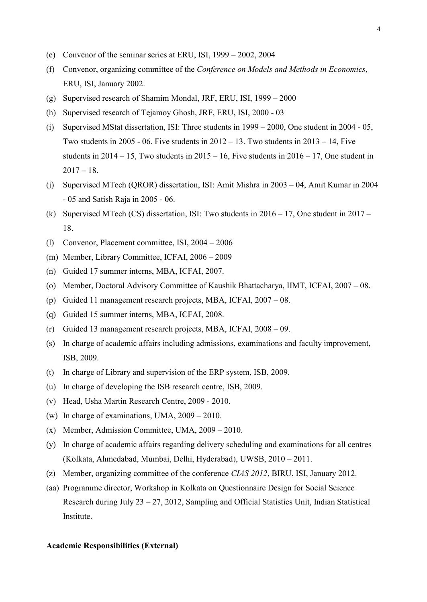- (e) Convenor of the seminar series at ERU, ISI, 1999 2002, 2004
- (f) Convenor, organizing committee of the *Conference on Models and Methods in Economics*, ERU, ISI, January 2002.
- (g) Supervised research of Shamim Mondal, JRF, ERU, ISI, 1999 2000
- (h) Supervised research of Tejamoy Ghosh, JRF, ERU, ISI, 2000 03
- (i) Supervised MStat dissertation, ISI: Three students in 1999 2000, One student in 2004 05, Two students in 2005 - 06. Five students in  $2012 - 13$ . Two students in  $2013 - 14$ , Five students in  $2014 - 15$ , Two students in  $2015 - 16$ , Five students in  $2016 - 17$ , One student in  $2017 - 18$ .
- (j) Supervised MTech (QROR) dissertation, ISI: Amit Mishra in 2003 04, Amit Kumar in 2004 - 05 and Satish Raja in 2005 - 06.
- (k) Supervised MTech (CS) dissertation, ISI: Two students in 2016 17, One student in 2017 18.
- (l) Convenor, Placement committee, ISI, 2004 2006
- (m) Member, Library Committee, ICFAI, 2006 2009
- (n) Guided 17 summer interns, MBA, ICFAI, 2007.
- (o) Member, Doctoral Advisory Committee of Kaushik Bhattacharya, IIMT, ICFAI, 2007 08.
- (p) Guided 11 management research projects, MBA, ICFAI, 2007 08.
- (q) Guided 15 summer interns, MBA, ICFAI, 2008.
- (r) Guided 13 management research projects, MBA, ICFAI, 2008 09.
- (s) In charge of academic affairs including admissions, examinations and faculty improvement, ISB, 2009.
- (t) In charge of Library and supervision of the ERP system, ISB, 2009.
- (u) In charge of developing the ISB research centre, ISB, 2009.
- (v) Head, Usha Martin Research Centre, 2009 2010.
- (w) In charge of examinations, UMA, 2009 2010.
- (x) Member, Admission Committee, UMA, 2009 2010.
- (y) In charge of academic affairs regarding delivery scheduling and examinations for all centres (Kolkata, Ahmedabad, Mumbai, Delhi, Hyderabad), UWSB, 2010 – 2011.
- (z) Member, organizing committee of the conference *CIAS 2012*, BIRU, ISI, January 2012.
- (aa) Programme director, Workshop in Kolkata on Questionnaire Design for Social Science Research during July 23 – 27, 2012, Sampling and Official Statistics Unit, Indian Statistical Institute.

#### Academic Responsibilities (External)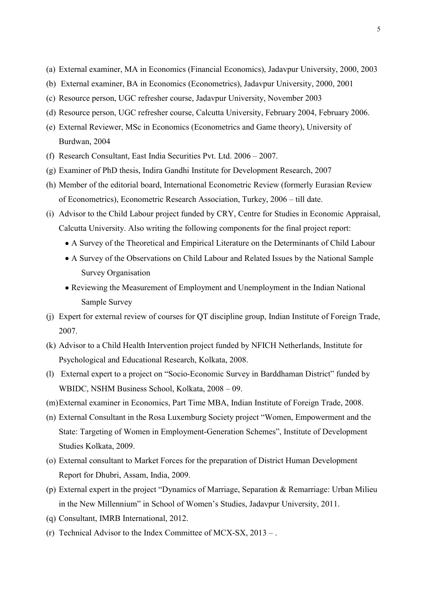- (a) External examiner, MA in Economics (Financial Economics), Jadavpur University, 2000, 2003
- (b) External examiner, BA in Economics (Econometrics), Jadavpur University, 2000, 2001
- (c) Resource person, UGC refresher course, Jadavpur University, November 2003
- (d) Resource person, UGC refresher course, Calcutta University, February 2004, February 2006.
- (e) External Reviewer, MSc in Economics (Econometrics and Game theory), University of Burdwan, 2004
- (f) Research Consultant, East India Securities Pvt. Ltd. 2006 2007.
- (g) Examiner of PhD thesis, Indira Gandhi Institute for Development Research, 2007
- (h) Member of the editorial board, International Econometric Review (formerly Eurasian Review of Econometrics), Econometric Research Association, Turkey, 2006 – till date.
- (i) Advisor to the Child Labour project funded by CRY, Centre for Studies in Economic Appraisal, Calcutta University. Also writing the following components for the final project report:
	- A Survey of the Theoretical and Empirical Literature on the Determinants of Child Labour
	- A Survey of the Observations on Child Labour and Related Issues by the National Sample Survey Organisation
	- Reviewing the Measurement of Employment and Unemployment in the Indian National Sample Survey
- (j) Expert for external review of courses for QT discipline group, Indian Institute of Foreign Trade, 2007.
- (k) Advisor to a Child Health Intervention project funded by NFICH Netherlands, Institute for Psychological and Educational Research, Kolkata, 2008.
- (l) External expert to a project on "Socio-Economic Survey in Barddhaman District" funded by WBIDC, NSHM Business School, Kolkata, 2008 – 09.
- (m)External examiner in Economics, Part Time MBA, Indian Institute of Foreign Trade, 2008.
- (n) External Consultant in the Rosa Luxemburg Society project "Women, Empowerment and the State: Targeting of Women in Employment-Generation Schemes", Institute of Development Studies Kolkata, 2009.
- (o) External consultant to Market Forces for the preparation of District Human Development Report for Dhubri, Assam, India, 2009.
- (p) External expert in the project "Dynamics of Marriage, Separation & Remarriage: Urban Milieu in the New Millennium" in School of Women's Studies, Jadavpur University, 2011.
- (q) Consultant, IMRB International, 2012.
- (r) Technical Advisor to the Index Committee of MCX-SX, 2013 .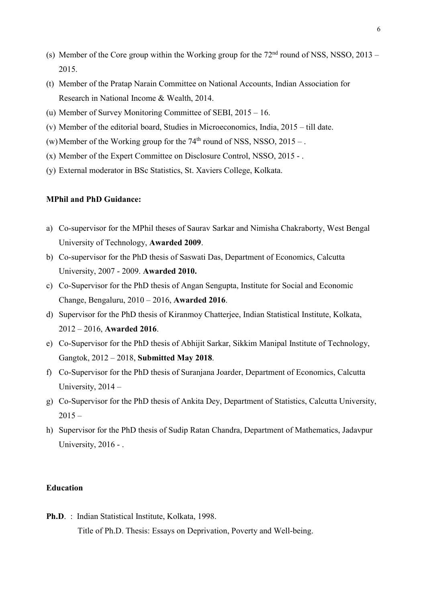- (s) Member of the Core group within the Working group for the  $72<sup>nd</sup>$  round of NSS, NSSO, 2013 2015.
- (t) Member of the Pratap Narain Committee on National Accounts, Indian Association for Research in National Income & Wealth, 2014.
- (u) Member of Survey Monitoring Committee of SEBI, 2015 16.
- (v) Member of the editorial board, Studies in Microeconomics, India, 2015 till date.
- (w)Member of the Working group for the  $74<sup>th</sup>$  round of NSS, NSSO,  $2015 -$ .
- (x) Member of the Expert Committee on Disclosure Control, NSSO, 2015 .
- (y) External moderator in BSc Statistics, St. Xaviers College, Kolkata.

#### MPhil and PhD Guidance:

- a) Co-supervisor for the MPhil theses of Saurav Sarkar and Nimisha Chakraborty, West Bengal University of Technology, Awarded 2009.
- b) Co-supervisor for the PhD thesis of Saswati Das, Department of Economics, Calcutta University, 2007 - 2009. Awarded 2010.
- c) Co-Supervisor for the PhD thesis of Angan Sengupta, Institute for Social and Economic Change, Bengaluru, 2010 – 2016, Awarded 2016.
- d) Supervisor for the PhD thesis of Kiranmoy Chatterjee, Indian Statistical Institute, Kolkata, 2012 – 2016, Awarded 2016.
- e) Co-Supervisor for the PhD thesis of Abhijit Sarkar, Sikkim Manipal Institute of Technology, Gangtok, 2012 – 2018, Submitted May 2018.
- f) Co-Supervisor for the PhD thesis of Suranjana Joarder, Department of Economics, Calcutta University, 2014 –
- g) Co-Supervisor for the PhD thesis of Ankita Dey, Department of Statistics, Calcutta University,  $2015 -$
- h) Supervisor for the PhD thesis of Sudip Ratan Chandra, Department of Mathematics, Jadavpur University, 2016 - .

## Education

Ph.D. : Indian Statistical Institute, Kolkata, 1998. Title of Ph.D. Thesis: Essays on Deprivation, Poverty and Well-being.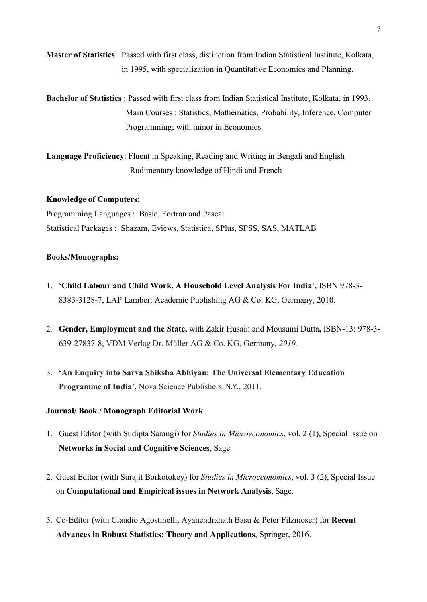Master of Statistics : Passed with first class, distinction from Indian Statistical Institute, Kolkata, in 1995, with specialization in Quantitative Economics and Planning.

Bachelor of Statistics : Passed with first class from Indian Statistical Institute, Kolkata, in 1993. Main Courses : Statistics, Mathematics, Probability, Inference, Computer Programming; with minor in Economics.

Language Proficiency: Fluent in Speaking, Reading and Writing in Bengali and English Rudimentary knowledge of Hindi and French

Knowledge of Computers: Programming Languages : Basic, Fortran and Pascal Statistical Packages : Shazam, Eviews, Statistica, SPlus, SPSS, SAS, MATLAB

## Books/Monographs:

- 1. 'Child Labour and Child Work, A Household Level Analysis For India', ISBN 978-3- 8383-3128-7, LAP Lambert Academic Publishing AG & Co. KG, Germany, 2010.
- 2. Gender, Employment and the State, with [Zakir Husain](http://www.gettextbooks.com/author/Zakir_Husain) and [Mousumi Dutta](http://www.gettextbooks.com/author/Mousumi_Dutta), ISBN-13: 978-3- 639-27837-8, VDM Verlag Dr. Müller AG & Co. KG, Germany, *2010.*
- 3. 'An Enquiry into Sarva Shiksha Abhiyan: The Universal Elementary Education Programme of India', Nova Science Publishers, N.Y., 2011.

## Journal/ Book / Monograph Editorial Work

- 1. Guest Editor (with Sudipta Sarangi) for *Studies in Microeconomics*, vol. 2 (1), Special Issue on Networks in Social and Cognitive Sciences, Sage.
- 2. Guest Editor (with Surajit Borkotokey) for *Studies in Microeconomics*, vol. 3 (2), Special Issue on Computational and Empirical issues in Network Analysis, Sage.
- 3. Co-Editor (with Claudio Agostinelli, Ayanendranath Basu & Peter Filzmoser) for Recent Advances in Robust Statistics: Theory and Applications, Springer, 2016.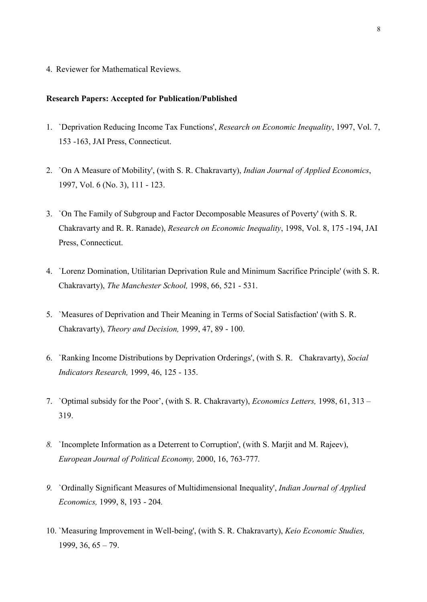4. Reviewer for Mathematical Reviews.

#### Research Papers: Accepted for Publication/Published

- 1. `Deprivation Reducing Income Tax Functions', *Research on Economic Inequality*, 1997, Vol. 7, 153 -163, JAI Press, Connecticut.
- 2. `On A Measure of Mobility', (with S. R. Chakravarty), *Indian Journal of Applied Economics*, 1997, Vol. 6 (No. 3), 111 - 123.
- 3. `On The Family of Subgroup and Factor Decomposable Measures of Poverty' (with S. R. Chakravarty and R. R. Ranade), *Research on Economic Inequality*, 1998, Vol. 8, 175 -194, JAI Press, Connecticut.
- 4. `Lorenz Domination, Utilitarian Deprivation Rule and Minimum Sacrifice Principle' (with S. R. Chakravarty), *The Manchester School,* 1998, 66, 521 - 531.
- 5. `Measures of Deprivation and Their Meaning in Terms of Social Satisfaction' (with S. R. Chakravarty), *Theory and Decision,* 1999, 47, 89 - 100.
- 6. `Ranking Income Distributions by Deprivation Orderings', (with S. R. Chakravarty), *Social Indicators Research,* 1999, 46, 125 - 135.
- 7. `Optimal subsidy for the Poor', (with S. R. Chakravarty), *Economics Letters,* 1998, 61, 313 319.
- *8.* `Incomplete Information as a Deterrent to Corruption', (with S. Marjit and M. Rajeev), *European Journal of Political Economy,* 2000, 16, 763-777*.*
- *9.* `Ordinally Significant Measures of Multidimensional Inequality', *Indian Journal of Applied Economics,* 1999, 8, 193 - 204*.*
- 10. `Measuring Improvement in Well-being', (with S. R. Chakravarty), *Keio Economic Studies,*  1999, 36, 65 – 79.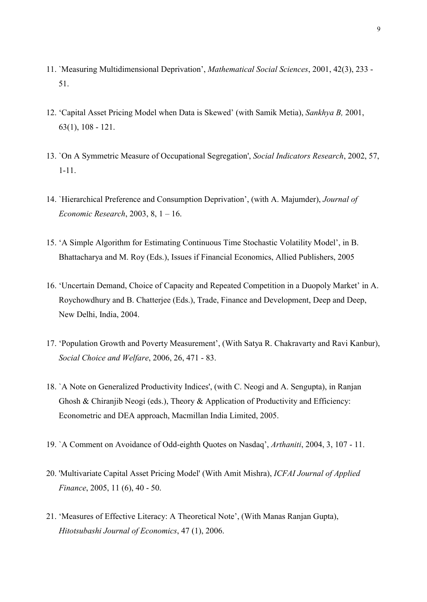- 11. `Measuring Multidimensional Deprivation', *Mathematical Social Sciences*, 2001, 42(3), 233 51.
- 12. 'Capital Asset Pricing Model when Data is Skewed' (with Samik Metia), *Sankhya B,* 2001, 63(1), 108 - 121.
- 13. `On A Symmetric Measure of Occupational Segregation', *Social Indicators Research*, 2002, 57, 1-11.
- 14. `Hierarchical Preference and Consumption Deprivation', (with A. Majumder), *Journal of Economic Research*, 2003, 8, 1 – 16.
- 15. 'A Simple Algorithm for Estimating Continuous Time Stochastic Volatility Model', in B. Bhattacharya and M. Roy (Eds.), Issues if Financial Economics, Allied Publishers, 2005
- 16. 'Uncertain Demand, Choice of Capacity and Repeated Competition in a Duopoly Market' in A. Roychowdhury and B. Chatterjee (Eds.), Trade, Finance and Development, Deep and Deep, New Delhi, India, 2004.
- 17. 'Population Growth and Poverty Measurement', (With Satya R. Chakravarty and Ravi Kanbur), *Social Choice and Welfare*, 2006, 26, 471 - 83.
- 18. `A Note on Generalized Productivity Indices', (with C. Neogi and A. Sengupta), in Ranjan Ghosh & Chiranjib Neogi (eds.), Theory & Application of Productivity and Efficiency: Econometric and DEA approach, Macmillan India Limited, 2005.
- 19. `A Comment on Avoidance of Odd-eighth Quotes on Nasdaq', *Arthaniti*, 2004, 3, 107 11.
- 20. 'Multivariate Capital Asset Pricing Model' (With Amit Mishra), *ICFAI Journal of Applied Finance*, 2005, 11 (6), 40 - 50.
- 21. 'Measures of Effective Literacy: A Theoretical Note', (With Manas Ranjan Gupta), *Hitotsubashi Journal of Economics*, 47 (1), 2006.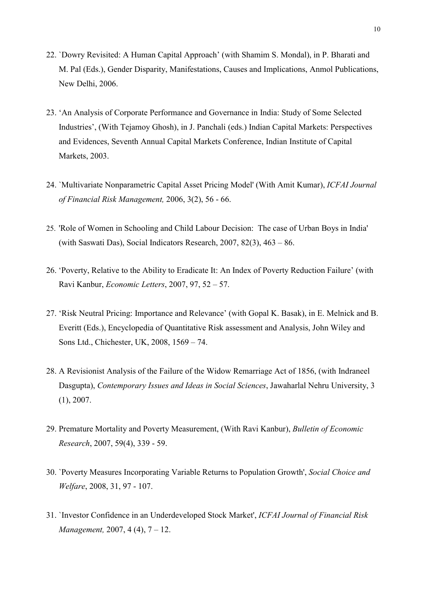- 22. `Dowry Revisited: A Human Capital Approach' (with Shamim S. Mondal), in P. Bharati and M. Pal (Eds.), Gender Disparity, Manifestations, Causes and Implications, Anmol Publications, New Delhi, 2006.
- 23. 'An Analysis of Corporate Performance and Governance in India: Study of Some Selected Industries', (With Tejamoy Ghosh), in J. Panchali (eds.) Indian Capital Markets: Perspectives and Evidences, Seventh Annual Capital Markets Conference, Indian Institute of Capital Markets, 2003.
- 24. `Multivariate Nonparametric Capital Asset Pricing Model' (With Amit Kumar), *ICFAI Journal of Financial Risk Management,* 2006, 3(2), 56 - 66.
- 25. 'Role of Women in Schooling and Child Labour Decision: The case of Urban Boys in India' (with Saswati Das), Social Indicators Research, 2007, 82(3), 463 – 86.
- 26. 'Poverty, Relative to the Ability to Eradicate It: An Index of Poverty Reduction Failure' (with Ravi Kanbur, *Economic Letters*, 2007, 97, 52 – 57.
- 27. 'Risk Neutral Pricing: Importance and Relevance' (with Gopal K. Basak), in E. Melnick and B. Everitt (Eds.), Encyclopedia of Quantitative Risk assessment and Analysis, John Wiley and Sons Ltd., Chichester, UK, 2008, 1569 – 74.
- 28. A Revisionist Analysis of the Failure of the Widow Remarriage Act of 1856, (with Indraneel Dasgupta), *Contemporary Issues and Ideas in Social Sciences*, Jawaharlal Nehru University, 3  $(1), 2007.$
- 29. Premature Mortality and Poverty Measurement, (With Ravi Kanbur), *Bulletin of Economic Research*, 2007, 59(4), 339 - 59.
- 30. `Poverty Measures Incorporating Variable Returns to Population Growth', *Social Choice and Welfare*, 2008, 31, 97 - 107.
- 31. `Investor Confidence in an Underdeveloped Stock Market', *ICFAI Journal of Financial Risk Management,* 2007, 4 (4), 7 – 12.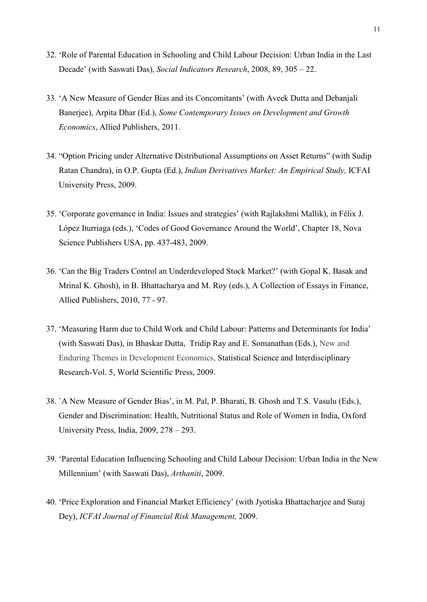- 32. 'Role of Parental Education in Schooling and Child Labour Decision: Urban India in the Last Decade' (with Saswati Das), *Social Indicators Research*, 2008, 89, 305 – 22.
- 33. 'A New Measure of Gender Bias and its Concomitants' (with Aveek Dutta and Debanjali Banerjee), Arpita Dhar (Ed.), *Some Contemporary Issues on Development and Growth Economics*, Allied Publishers, 2011.
- 34. "Option Pricing under Alternative Distributional Assumptions on Asset Returns" (with Sudip Ratan Chandra), in O.P. Gupta (Ed.), *Indian Derivatives Market: An Empirical Study,* ICFAI University Press, 2009.
- 35. 'Corporate governance in India: Issues and strategies' (with Rajlakshmi Mallik), in [Félix J.](mailto:flopez@eco.uva.es)  [López Iturriaga](mailto:flopez@eco.uva.es) (eds.), 'Codes of Good Governance Around the World', Chapter 18, Nova Science Publishers USA, pp. 437-483, 2009.
- 36. 'Can the Big Traders Control an Underdeveloped Stock Market?' (with Gopal K. Basak and Mrinal K. Ghosh), in B. Bhattacharya and M. Roy (eds.), A Collection of Essays in Finance, Allied Publishers, 2010, 77 - 97.
- 37. 'Measuring Harm due to Child Work and Child Labour: Patterns and Determinants for India' (with Saswati Das), in Bhaskar Dutta, Tridip Ray and E. Somanathan (Eds.), New and Enduring Themes in Development Economics, Statistical Science and Interdisciplinary Research-Vol. 5, World Scientific Press, 2009.
- 38. `A New Measure of Gender Bias', in M. Pal, P. Bharati, B. Ghosh and T.S. Vasulu (Eds.), Gender and Discrimination: Health, Nutritional Status and Role of Women in India, Oxford University Press, India, 2009, 278 – 293.
- 39. 'Parental Education Influencing Schooling and Child Labour Decision: Urban India in the New Millennium' (with Saswati Das), *Arthaniti*, 2009.
- 40. 'Price Exploration and Financial Market Efficiency' (with Jyotiska Bhattacharjee and Suraj Dey), *ICFAI Journal of Financial Risk Management,* 2009.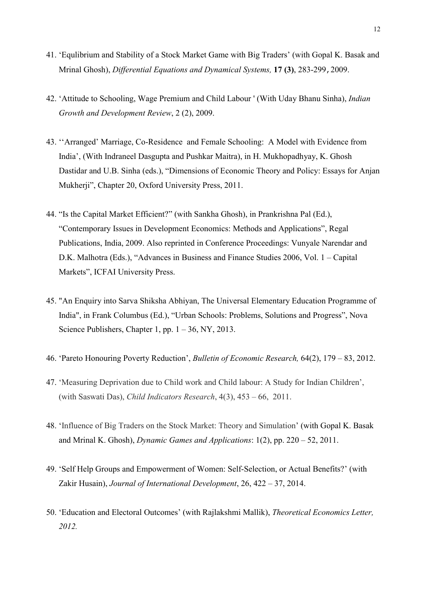- 41. 'Equlibrium and Stability of a Stock Market Game with Big Traders' (with Gopal K. Basak and Mrinal Ghosh), *Differential Equations and Dynamical Systems,* 17 (3), 283-299,2009.
- 42. 'Attitude to Schooling, Wage Premium and Child Labour ' (With Uday Bhanu Sinha), *Indian Growth and Development Review*, 2 (2), 2009.
- 43. ''Arranged' Marriage, Co-Residence and Female Schooling: A Model with Evidence from India', (With Indraneel Dasgupta and Pushkar Maitra), in H. Mukhopadhyay, K. Ghosh Dastidar and U.B. Sinha (eds.), "Dimensions of Economic Theory and Policy: Essays for Anjan Mukherji", Chapter 20, Oxford University Press, 2011.
- 44. "Is the Capital Market Efficient?" (with Sankha Ghosh), in Prankrishna Pal (Ed.), "Contemporary Issues in Development Economics: Methods and Applications", Regal Publications, India, 2009. Also reprinted in Conference Proceedings: Vunyale Narendar and D.K. Malhotra (Eds.), "Advances in Business and Finance Studies 2006, Vol. 1 – Capital Markets", ICFAI University Press.
- 45. "An Enquiry into Sarva Shiksha Abhiyan, The Universal Elementary Education Programme of India", in Frank Columbus (Ed.), "Urban Schools: Problems, Solutions and Progress", Nova Science Publishers, Chapter 1, pp.  $1 - 36$ , NY, 2013.
- 46. 'Pareto Honouring Poverty Reduction', *Bulletin of Economic Research,* 64(2), 179 83, 2012.
- 47. 'Measuring Deprivation due to Child work and Child labour: A Study for Indian Children', (with Saswati Das), *Child Indicators Research*, 4(3), 453 – 66, 2011.
- 48. 'Influence of Big Traders on the Stock Market: Theory and Simulation' (with Gopal K. Basak and Mrinal K. Ghosh), *Dynamic Games and Applications*: 1(2), pp. 220 – 52, 2011.
- 49. 'Self Help Groups and Empowerment of Women: Self-Selection, or Actual Benefits?' (with Zakir Husain), *Journal of International Development*, 26, 422 – 37, 2014.
- 50. 'Education and Electoral Outcomes' (with Rajlakshmi Mallik), *Theoretical Economics Letter, 2012.*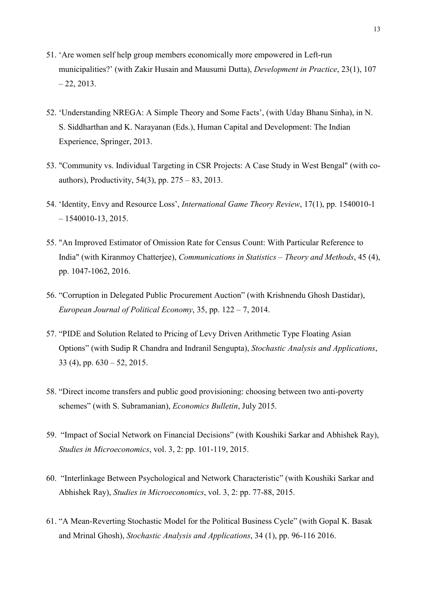- 51. 'Are women self help group members economically more empowered in Left-run municipalities?' (with Zakir Husain and Mausumi Dutta), *Development in Practice*, 23(1), 107  $-22, 2013.$
- 52. 'Understanding NREGA: A Simple Theory and Some Facts', (with Uday Bhanu Sinha), in N. S. Siddharthan and K. Narayanan (Eds.), Human Capital and Development: The Indian Experience, Springer, 2013.
- 53. "Community vs. Individual Targeting in CSR Projects: A Case Study in West Bengal" (with coauthors), Productivity, 54(3), pp. 275 – 83, 2013.
- 54. 'Identity, Envy and Resource Loss', *International Game Theory Review*, 17(1), pp. 1540010-1  $-1540010-13, 2015.$
- 55. "An Improved Estimator of Omission Rate for Census Count: With Particular Reference to India" (with Kiranmoy Chatterjee), *Communications in Statistics – Theory and Methods*, 45 (4), pp. 1047-1062, 2016.
- 56. "Corruption in Delegated Public Procurement Auction" (with Krishnendu Ghosh Dastidar), *European Journal of Political Economy*, 35, pp. 122 – 7, 2014.
- 57. "PIDE and Solution Related to Pricing of Levy Driven Arithmetic Type Floating Asian Options" (with Sudip R Chandra and Indranil Sengupta), *Stochastic Analysis and Applications*, 33 (4), pp.  $630 - 52$ , 2015.
- 58. "Direct income transfers and public good provisioning: choosing between two anti-poverty schemes" (with S. Subramanian), *Economics Bulletin*, July 2015.
- 59. "Impact of Social Network on Financial Decisions" (with Koushiki Sarkar and Abhishek Ray), *Studies in Microeconomics*, vol. 3, 2: pp. 101-119, 2015.
- 60. "Interlinkage Between Psychological and Network Characteristic" (with Koushiki Sarkar and Abhishek Ray), *Studies in Microeconomics*, vol. 3, 2: pp. 77-88, 2015.
- 61. "A Mean-Reverting Stochastic Model for the Political Business Cycle" (with Gopal K. Basak and Mrinal Ghosh), *Stochastic Analysis and Applications*, 34 (1), pp. 96-116 2016.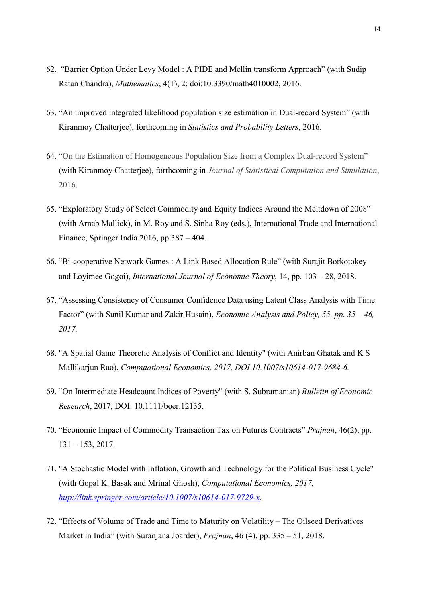- 62. "Barrier Option Under Levy Model : A PIDE and Mellin transform Approach" (with Sudip Ratan Chandra), *Mathematics*, 4(1), 2; doi:10.3390/math4010002, 2016.
- 63. "An improved integrated likelihood population size estimation in Dual-record System" (with Kiranmoy Chatterjee), forthcoming in *Statistics and Probability Letters*, 2016.
- 64. "On the Estimation of Homogeneous Population Size from a Complex Dual-record System" (with Kiranmoy Chatterjee), forthcoming in *Journal of Statistical Computation and Simulation*, 2016.
- 65. "Exploratory Study of Select Commodity and Equity Indices Around the Meltdown of 2008" (with Arnab Mallick), in M. Roy and S. Sinha Roy (eds.), International Trade and International Finance, Springer India 2016, pp 387 – 404.
- 66. "Bi-cooperative Network Games : A Link Based Allocation Rule" (with Surajit Borkotokey and Loyimee Gogoi), *International Journal of Economic Theory*, 14, pp. 103 – 28, 2018.
- 67. "Assessing Consistency of Consumer Confidence Data using Latent Class Analysis with Time Factor" (with Sunil Kumar and Zakir Husain), *Economic Analysis and Policy, 55, pp. 35 – 46, 2017.*
- 68. "A Spatial Game Theoretic Analysis of Conflict and Identity" (with Anirban Ghatak and K S Mallikarjun Rao), *Computational Economics, 2017, DOI 10.1007/s10614-017-9684-6.*
- 69. "On Intermediate Headcount Indices of Poverty" (with S. Subramanian) *Bulletin of Economic Research*, 2017, DOI: 10.1111/boer.12135.
- 70. "Economic Impact of Commodity Transaction Tax on Futures Contracts" *Prajnan*, 46(2), pp. 131 – 153, 2017.
- 71. "A Stochastic Model with Inflation, Growth and Technology for the Political Business Cycle" (with Gopal K. Basak and Mrinal Ghosh), *Computational Economics, 2017, <http://link.springer.com/article/10.1007/s10614-017-9729-x>.*
- 72. "Effects of Volume of Trade and Time to Maturity on Volatility The Oilseed Derivatives Market in India" (with Suranjana Joarder), *Prajnan*, 46 (4), pp. 335 – 51, 2018.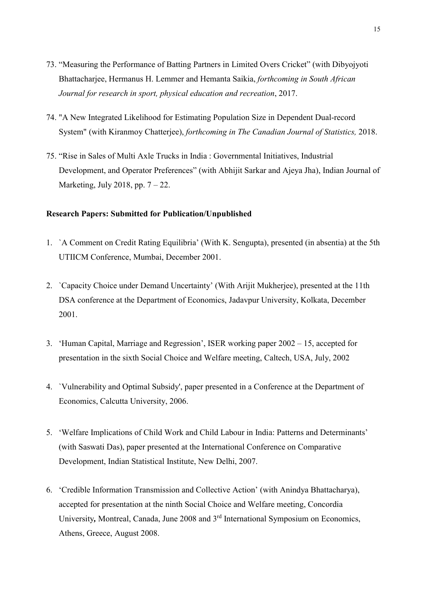- 73. "Measuring the Performance of Batting Partners in Limited Overs Cricket" (with Dibyojyoti Bhattacharjee, Hermanus H. Lemmer and Hemanta Saikia, *forthcoming in South African Journal for research in sport, physical education and recreation*, 2017.
- 74. "A New Integrated Likelihood for Estimating Population Size in Dependent Dual-record System" (with Kiranmoy Chatterjee), *forthcoming in The Canadian Journal of Statistics,* 2018.
- 75. "Rise in Sales of Multi Axle Trucks in India : Governmental Initiatives, Industrial Development, and Operator Preferences" (with Abhijit Sarkar and Ajeya Jha), Indian Journal of Marketing, July 2018, pp.  $7 - 22$ .

#### Research Papers: Submitted for Publication/Unpublished

- 1. `A Comment on Credit Rating Equilibria' (With K. Sengupta), presented (in absentia) at the 5th UTIICM Conference, Mumbai, December 2001.
- 2. `Capacity Choice under Demand Uncertainty' (With Arijit Mukherjee), presented at the 11th DSA conference at the Department of Economics, Jadavpur University, Kolkata, December 2001.
- 3. 'Human Capital, Marriage and Regression', ISER working paper 2002 15, accepted for presentation in the sixth Social Choice and Welfare meeting, Caltech, USA, July, 2002
- 4. `Vulnerability and Optimal Subsidy', paper presented in a Conference at the Department of Economics, Calcutta University, 2006.
- 5. 'Welfare Implications of Child Work and Child Labour in India: Patterns and Determinants' (with Saswati Das), paper presented at the International Conference on Comparative Development, Indian Statistical Institute, New Delhi, 2007.
- 6. 'Credible Information Transmission and Collective Action' (with Anindya Bhattacharya), accepted for presentation at the ninth Social Choice and Welfare meeting, Concordia University*,* Montreal, Canada, June 2008 and 3rd International Symposium on Economics, Athens, Greece, August 2008.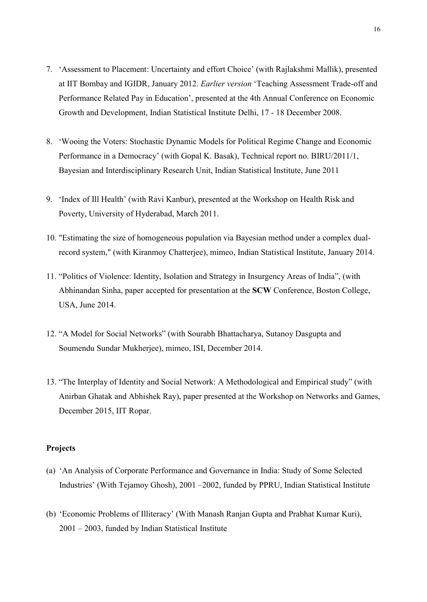- 7. 'Assessment to Placement: Uncertainty and effort Choice' (with Rajlakshmi Mallik), presented at IIT Bombay and IGIDR, January 2012. *Earlier version* 'Teaching Assessment Trade-off and Performance Related Pay in Education', presented at the 4th Annual Conference on Economic Growth and Development, Indian Statistical Institute Delhi, 17 - 18 December 2008.
- 8. 'Wooing the Voters: Stochastic Dynamic Models for Political Regime Change and Economic Performance in a Democracy' (with Gopal K. Basak), Technical report no. BIRU/2011/1, Bayesian and Interdisciplinary Research Unit, Indian Statistical Institute, June 2011
- 9. 'Index of Ill Health' (with Ravi Kanbur), presented at the Workshop on Health Risk and Poverty, University of Hyderabad, March 2011.
- 10. "Estimating the size of homogeneous population via Bayesian method under a complex dualrecord system," (with Kiranmoy Chatterjee), mimeo, Indian Statistical Institute, January 2014.
- 11. "Politics of Violence: Identity, Isolation and Strategy in Insurgency Areas of India", (with Abhinandan Sinha, paper accepted for presentation at the SCW Conference, Boston College, USA, June 2014.
- 12. "A Model for Social Networks" (with Sourabh Bhattacharya, Sutanoy Dasgupta and Soumendu Sundar Mukherjee), mimeo, ISI, December 2014.
- 13. "The Interplay of Identity and Social Network: A Methodological and Empirical study" (with Anirban Ghatak and Abhishek Ray), paper presented at the Workshop on Networks and Games, December 2015, IIT Ropar.

#### Projects

- (a) 'An Analysis of Corporate Performance and Governance in India: Study of Some Selected Industries' (With Tejamoy Ghosh), 2001 –2002, funded by PPRU, Indian Statistical Institute
- (b) 'Economic Problems of Illiteracy' (With Manash Ranjan Gupta and Prabhat Kumar Kuri), 2001 – 2003, funded by Indian Statistical Institute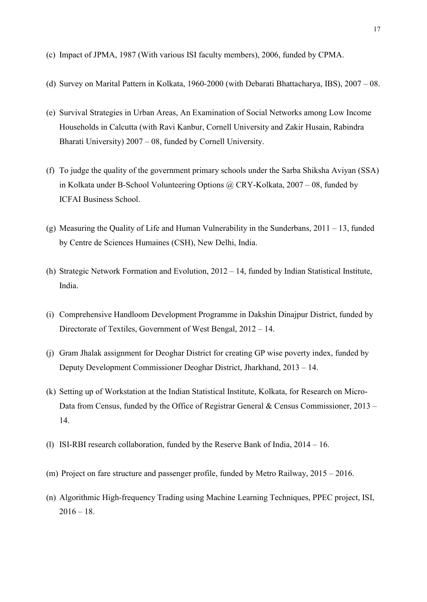- (c) Impact of JPMA, 1987 (With various ISI faculty members), 2006, funded by CPMA.
- (d) Survey on Marital Pattern in Kolkata, 1960-2000 (with Debarati Bhattacharya, IBS), 2007 08.
- (e) Survival Strategies in Urban Areas, An Examination of Social Networks among Low Income Households in Calcutta (with Ravi Kanbur, Cornell University and Zakir Husain, Rabindra Bharati University) 2007 – 08, funded by Cornell University.
- (f) To judge the quality of the government primary schools under the Sarba Shiksha Aviyan (SSA) in Kolkata under B-School Volunteering Options @ CRY-Kolkata, 2007 – 08, funded by ICFAI Business School.
- (g) Measuring the Quality of Life and Human Vulnerability in the Sunderbans,  $2011 13$ , funded by Centre de Sciences Humaines (CSH), New Delhi, India.
- (h) Strategic Network Formation and Evolution, 2012 14, funded by Indian Statistical Institute, India.
- (i) Comprehensive Handloom Development Programme in Dakshin Dinajpur District, funded by Directorate of Textiles, Government of West Bengal, 2012 – 14.
- (j) Gram Jhalak assignment for Deoghar District for creating GP wise poverty index, funded by Deputy Development Commissioner Deoghar District, Jharkhand, 2013 – 14.
- (k) Setting up of Workstation at the Indian Statistical Institute, Kolkata, for Research on Micro-Data from Census, funded by the Office of Registrar General & Census Commissioner, 2013 – 14.
- (l) ISI-RBI research collaboration, funded by the Reserve Bank of India, 2014 16.
- (m) Project on fare structure and passenger profile, funded by Metro Railway, 2015 2016.
- (n) Algorithmic High-frequency Trading using Machine Learning Techniques, PPEC project, ISI,  $2016 - 18$ .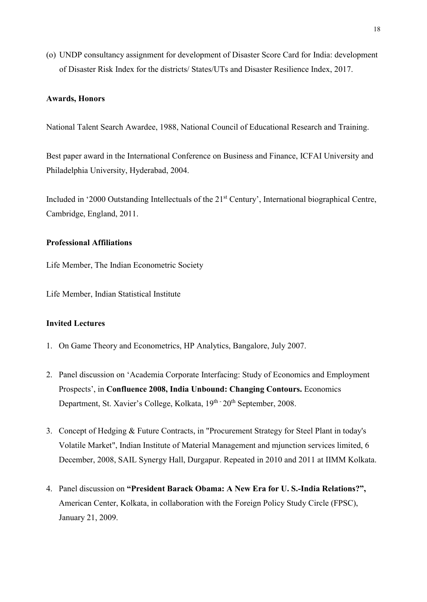(o) UNDP consultancy assignment for development of Disaster Score Card for India: development of Disaster Risk Index for the districts/ States/UTs and Disaster Resilience Index, 2017.

### Awards, Honors

National Talent Search Awardee, 1988, National Council of Educational Research and Training.

Best paper award in the International Conference on Business and Finance, ICFAI University and Philadelphia University, Hyderabad, 2004.

Included in '2000 Outstanding Intellectuals of the 21<sup>st</sup> Century', International biographical Centre, Cambridge, England, 2011.

## Professional Affiliations

Life Member, The Indian Econometric Society

Life Member, Indian Statistical Institute

#### Invited Lectures

- 1. On Game Theory and Econometrics, HP Analytics, Bangalore, July 2007.
- 2. Panel discussion on 'Academia Corporate Interfacing: Study of Economics and Employment Prospects', in Confluence 2008, India Unbound: Changing Contours. Economics Department, St. Xavier's College, Kolkata, 19<sup>th -</sup> 20<sup>th</sup> September, 2008.
- 3. Concept of Hedging & Future Contracts, in "Procurement Strategy for Steel Plant in today's Volatile Market", Indian Institute of Material Management and mjunction services limited, 6 December, 2008, SAIL Synergy Hall, Durgapur. Repeated in 2010 and 2011 at IIMM Kolkata.
- 4. Panel discussion on "President Barack Obama: A New Era for U. S.-India Relations?", American Center, Kolkata, in collaboration with the Foreign Policy Study Circle (FPSC), January 21, 2009.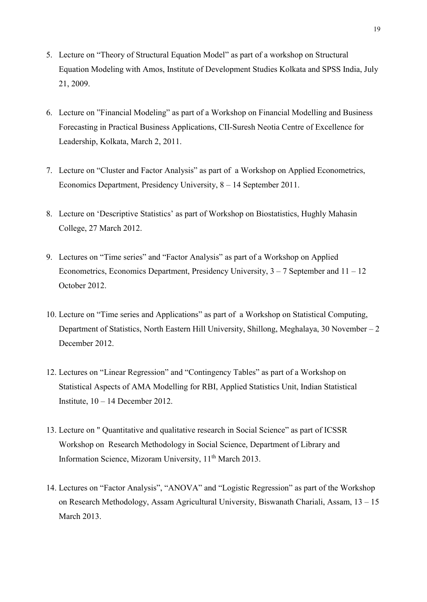- 5. Lecture on "Theory of Structural Equation Model" as part of a workshop on Structural Equation Modeling with Amos, Institute of Development Studies Kolkata and SPSS India, July 21, 2009.
- 6. Lecture on "Financial Modeling" as part of a Workshop on Financial Modelling and Business Forecasting in Practical Business Applications, CII-Suresh Neotia Centre of Excellence for Leadership, Kolkata, March 2, 2011.
- 7. Lecture on "Cluster and Factor Analysis" as part of a Workshop on Applied Econometrics, Economics Department, Presidency University, 8 – 14 September 2011.
- 8. Lecture on 'Descriptive Statistics' as part of Workshop on Biostatistics, Hughly Mahasin College, 27 March 2012.
- 9. Lectures on "Time series" and "Factor Analysis" as part of a Workshop on Applied Econometrics, Economics Department, Presidency University,  $3 - 7$  September and  $11 - 12$ October 2012.
- 10. Lecture on "Time series and Applications" as part of a Workshop on Statistical Computing, Department of Statistics, North Eastern Hill University, Shillong, Meghalaya, 30 November – 2 December 2012.
- 12. Lectures on "Linear Regression" and "Contingency Tables" as part of a Workshop on Statistical Aspects of AMA Modelling for RBI, Applied Statistics Unit, Indian Statistical Institute,  $10 - 14$  December 2012.
- 13. Lecture on " Quantitative and qualitative research in Social Science" as part of ICSSR Workshop on Research Methodology in Social Science, Department of Library and Information Science, Mizoram University, 11<sup>th</sup> March 2013.
- 14. Lectures on "Factor Analysis", "ANOVA" and "Logistic Regression" as part of the Workshop on Research Methodology, Assam Agricultural University, Biswanath Chariali, Assam, 13 – 15 March 2013.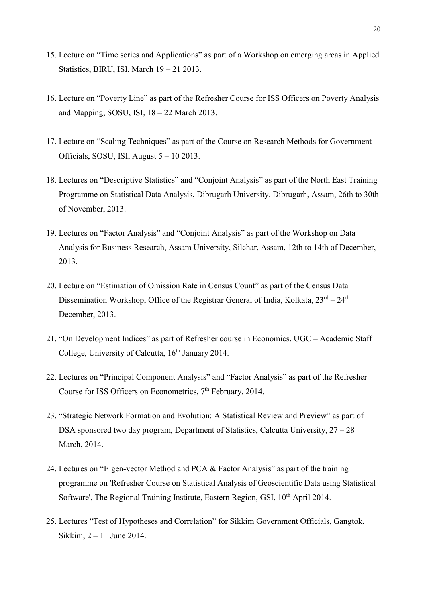- 15. Lecture on "Time series and Applications" as part of a Workshop on emerging areas in Applied Statistics, BIRU, ISI, March 19 – 21 2013.
- 16. Lecture on "Poverty Line" as part of the Refresher Course for ISS Officers on Poverty Analysis and Mapping, SOSU, ISI, 18 – 22 March 2013.
- 17. Lecture on "Scaling Techniques" as part of the Course on Research Methods for Government Officials, SOSU, ISI, August 5 – 10 2013.
- 18. Lectures on "Descriptive Statistics" and "Conjoint Analysis" as part of the North East Training Programme on Statistical Data Analysis, Dibrugarh University. Dibrugarh, Assam, 26th to 30th of November, 2013.
- 19. Lectures on "Factor Analysis" and "Conjoint Analysis" as part of the Workshop on Data Analysis for Business Research, Assam University, Silchar, Assam, 12th to 14th of December, 2013.
- 20. Lecture on "Estimation of Omission Rate in Census Count" as part of the Census Data Dissemination Workshop, Office of the Registrar General of India, Kolkata,  $23<sup>rd</sup> - 24<sup>th</sup>$ December, 2013.
- 21. "On Development Indices" as part of Refresher course in Economics, UGC Academic Staff College, University of Calcutta, 16<sup>th</sup> January 2014.
- 22. Lectures on "Principal Component Analysis" and "Factor Analysis" as part of the Refresher Course for ISS Officers on Econometrics,  $7<sup>th</sup>$  February, 2014.
- 23. "Strategic Network Formation and Evolution: A Statistical Review and Preview" as part of DSA sponsored two day program, Department of Statistics, Calcutta University, 27 – 28 March, 2014.
- 24. Lectures on "Eigen-vector Method and PCA & Factor Analysis" as part of the training programme on 'Refresher Course on Statistical Analysis of Geoscientific Data using Statistical Software', The Regional Training Institute, Eastern Region, GSI, 10<sup>th</sup> April 2014.
- 25. Lectures "Test of Hypotheses and Correlation" for Sikkim Government Officials, Gangtok, Sikkim, 2 – 11 June 2014.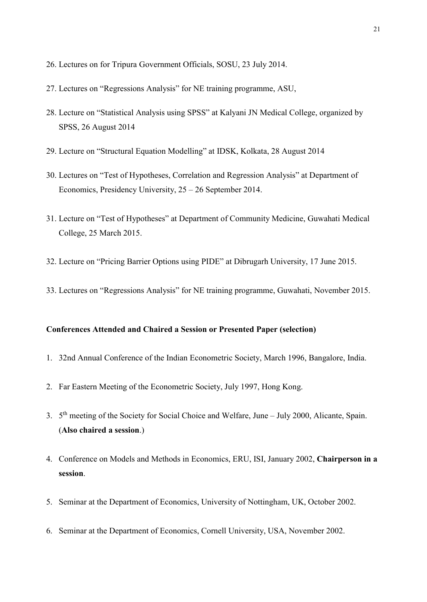- 26. Lectures on for Tripura Government Officials, SOSU, 23 July 2014.
- 27. Lectures on "Regressions Analysis" for NE training programme, ASU,
- 28. Lecture on "Statistical Analysis using SPSS" at Kalyani JN Medical College, organized by SPSS, 26 August 2014
- 29. Lecture on "Structural Equation Modelling" at IDSK, Kolkata, 28 August 2014
- 30. Lectures on "Test of Hypotheses, Correlation and Regression Analysis" at Department of Economics, Presidency University, 25 – 26 September 2014.
- 31. Lecture on "Test of Hypotheses" at Department of Community Medicine, Guwahati Medical College, 25 March 2015.
- 32. Lecture on "Pricing Barrier Options using PIDE" at Dibrugarh University, 17 June 2015.
- 33. Lectures on "Regressions Analysis" for NE training programme, Guwahati, November 2015.

### Conferences Attended and Chaired a Session or Presented Paper (selection)

- 1. 32nd Annual Conference of the Indian Econometric Society, March 1996, Bangalore, India.
- 2. Far Eastern Meeting of the Econometric Society, July 1997, Hong Kong.
- 3. 5th meeting of the Society for Social Choice and Welfare, June July 2000, Alicante, Spain. (Also chaired a session.)
- 4. Conference on Models and Methods in Economics, ERU, ISI, January 2002, Chairperson in a session.
- 5. Seminar at the Department of Economics, University of Nottingham, UK, October 2002.
- 6. Seminar at the Department of Economics, Cornell University, USA, November 2002.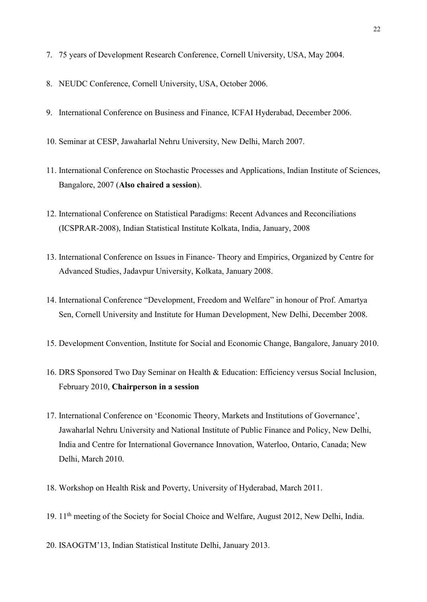- 7. 75 years of Development Research Conference, Cornell University, USA, May 2004.
- 8. NEUDC Conference, Cornell University, USA, October 2006.
- 9. International Conference on Business and Finance, ICFAI Hyderabad, December 2006.
- 10. Seminar at CESP, Jawaharlal Nehru University, New Delhi, March 2007.
- 11. International Conference on Stochastic Processes and Applications, Indian Institute of Sciences, Bangalore, 2007 (Also chaired a session).
- 12. International Conference on Statistical Paradigms: Recent Advances and Reconciliations (ICSPRAR-2008), Indian Statistical Institute Kolkata, India, January, 2008
- 13. International Conference on Issues in Finance- Theory and Empirics, Organized by Centre for Advanced Studies, Jadavpur University, Kolkata, January 2008.
- 14. International Conference "Development, Freedom and Welfare" in honour of Prof. Amartya Sen, Cornell University and Institute for Human Development, New Delhi, December 2008.
- 15. Development Convention, Institute for Social and Economic Change, Bangalore, January 2010.
- 16. DRS Sponsored Two Day Seminar on Health & Education: Efficiency versus Social Inclusion, February 2010, Chairperson in a session
- 17. International Conference on 'Economic Theory, Markets and Institutions of Governance', Jawaharlal Nehru University and National Institute of Public Finance and Policy, New Delhi, India and Centre for International Governance Innovation, Waterloo, Ontario, Canada; New Delhi, March 2010.
- 18. Workshop on Health Risk and Poverty, University of Hyderabad, March 2011.
- 19. 11<sup>th</sup> meeting of the Society for Social Choice and Welfare, August 2012, New Delhi, India.
- 20. ISAOGTM'13, Indian Statistical Institute Delhi, January 2013.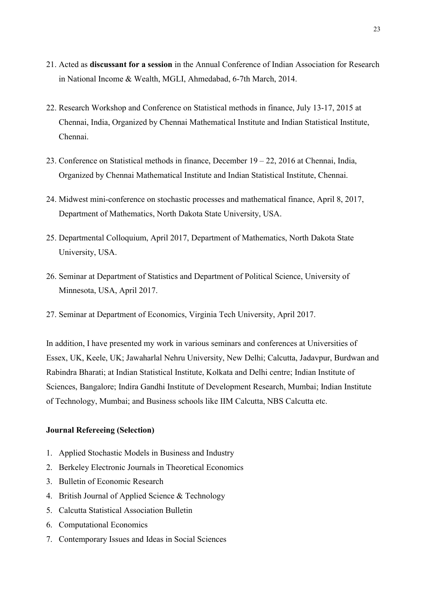- 21. Acted as discussant for a session in the Annual Conference of Indian Association for Research in National Income & Wealth, MGLI, Ahmedabad, 6-7th March, 2014.
- 22. Research Workshop and Conference on Statistical methods in finance, July 13-17, 2015 at Chennai, India, Organized by Chennai Mathematical Institute and Indian Statistical Institute, Chennai.
- 23. Conference on Statistical methods in finance, December 19 22, 2016 at Chennai, India, Organized by Chennai Mathematical Institute and Indian Statistical Institute, Chennai.
- 24. Midwest mini-conference on stochastic processes and mathematical finance, April 8, 2017, Department of Mathematics, North Dakota State University, USA.
- 25. Departmental Colloquium, April 2017, Department of Mathematics, North Dakota State University, USA.
- 26. Seminar at Department of Statistics and Department of Political Science, University of Minnesota, USA, April 2017.
- 27. Seminar at Department of Economics, Virginia Tech University, April 2017.

In addition, I have presented my work in various seminars and conferences at Universities of Essex, UK, Keele, UK; Jawaharlal Nehru University, New Delhi; Calcutta, Jadavpur, Burdwan and Rabindra Bharati; at Indian Statistical Institute, Kolkata and Delhi centre; Indian Institute of Sciences, Bangalore; Indira Gandhi Institute of Development Research, Mumbai; Indian Institute of Technology, Mumbai; and Business schools like IIM Calcutta, NBS Calcutta etc.

#### Journal Refereeing (Selection)

- 1. Applied Stochastic Models in Business and Industry
- 2. Berkeley Electronic Journals in Theoretical Economics
- 3. Bulletin of Economic Research
- 4. British Journal of Applied Science & Technology
- 5. Calcutta Statistical Association Bulletin
- 6. Computational Economics
- 7. Contemporary Issues and Ideas in Social Sciences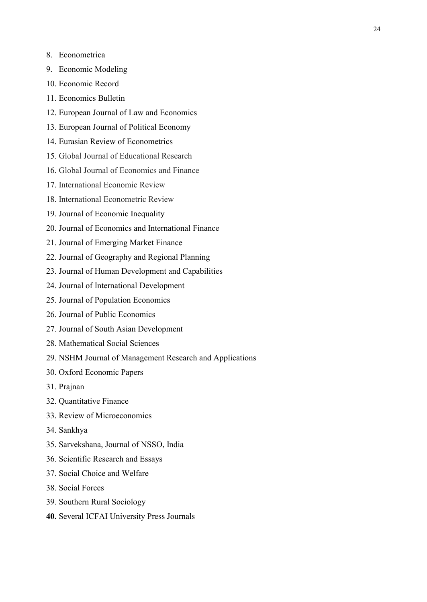- 9. Economic Modeling
- 10. Economic Record
- 11. Economics Bulletin
- 12. European Journal of Law and Economics
- 13. European Journal of Political Economy
- 14. Eurasian Review of Econometrics
- 15. Global Journal of Educational Research
- 16. Global Journal of Economics and Finance
- 17. International Economic Review
- 18. International Econometric Review
- 19. Journal of Economic Inequality
- 20. Journal of Economics and International Finance
- 21. Journal of Emerging Market Finance
- 22. Journal of Geography and Regional Planning
- 23. Journal of Human Development and Capabilities
- 24. Journal of International Development
- 25. Journal of Population Economics
- 26. Journal of Public Economics
- 27. Journal of South Asian Development
- 28. Mathematical Social Sciences
- 29. NSHM Journal of Management Research and Applications
- 30. Oxford Economic Papers
- 31. Prajnan
- 32. Quantitative Finance
- 33. Review of Microeconomics
- 34. Sankhya
- 35. Sarvekshana, Journal of NSSO, India
- 36. Scientific Research and Essays
- 37. Social Choice and Welfare
- 38. Social Forces
- 39. Southern Rural Sociology
- 40. Several ICFAI University Press Journals